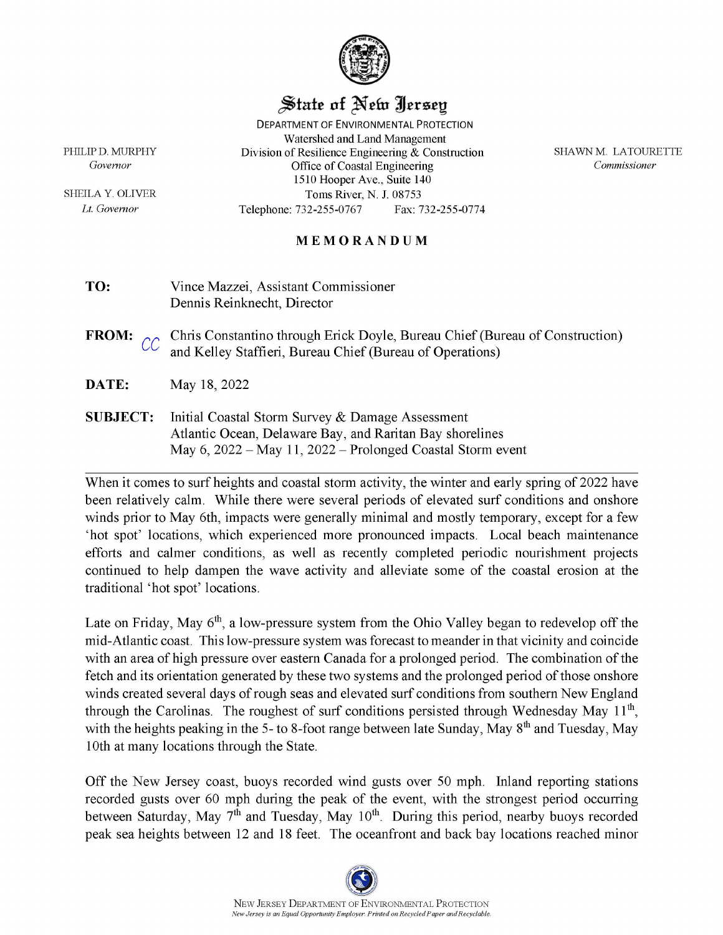

## State of New Jersey

**DEPARTMENT OF ENVIRONMENTAL PROTECTION** Watershed and Land Management Division of Resilience Engineering  $&$  Construction Office of Coastal Engineering 1510 Hooper Ave., Suite 140 Toms River, N. J. 08753 Telephone: 732-255-0767 Fax: 732-255-0774

SHAWN M. LATOURETTE Commissioner

## MEMORANDUM

- TO: Vince Mazzei, Assistant Commissioner Dennis Reinknecht, Director
- Chris Constantino through Erick Doyle, Bureau Chief (Bureau of Construction) **FROM:** and Kelley Staffieri, Bureau Chief (Bureau of Operations)
- DATE: May 18, 2022
- **SUBJECT:** Initial Coastal Storm Survey & Damage Assessment Atlantic Ocean, Delaware Bay, and Raritan Bay shorelines May 6, 2022 - May 11, 2022 - Prolonged Coastal Storm event

When it comes to surf heights and coastal storm activity, the winter and early spring of 2022 have been relatively calm. While there were several periods of elevated surf conditions and onshore winds prior to May 6th, impacts were generally minimal and mostly temporary, except for a few 'hot spot' locations, which experienced more pronounced impacts. Local beach maintenance efforts and calmer conditions, as well as recently completed periodic nourishment projects continued to help dampen the wave activity and alleviate some of the coastal erosion at the traditional 'hot spot' locations.

Late on Friday, May  $6<sup>th</sup>$ , a low-pressure system from the Ohio Valley began to redevelop off the mid-Atlantic coast. This low-pressure system was forecast to meander in that vicinity and coincide with an area of high pressure over eastern Canada for a prolonged period. The combination of the fetch and its orientation generated by these two systems and the prolonged period of those onshore winds created several days of rough seas and elevated surf conditions from southern New England through the Carolinas. The roughest of surf conditions persisted through Wednesday May 11<sup>th</sup>, with the heights peaking in the 5- to 8-foot range between late Sunday, May 8<sup>th</sup> and Tuesday, May 10th at many locations through the State.

Off the New Jersey coast, buoys recorded wind gusts over 50 mph. Inland reporting stations recorded gusts over 60 mph during the peak of the event, with the strongest period occurring between Saturday, May 7<sup>th</sup> and Tuesday, May 10<sup>th</sup>. During this period, nearby buoys recorded peak sea heights between 12 and 18 feet. The oceanfront and back bay locations reached minor

PHILIP D. MURPHY Governor

SHEILA Y. OLIVER Lt. Governor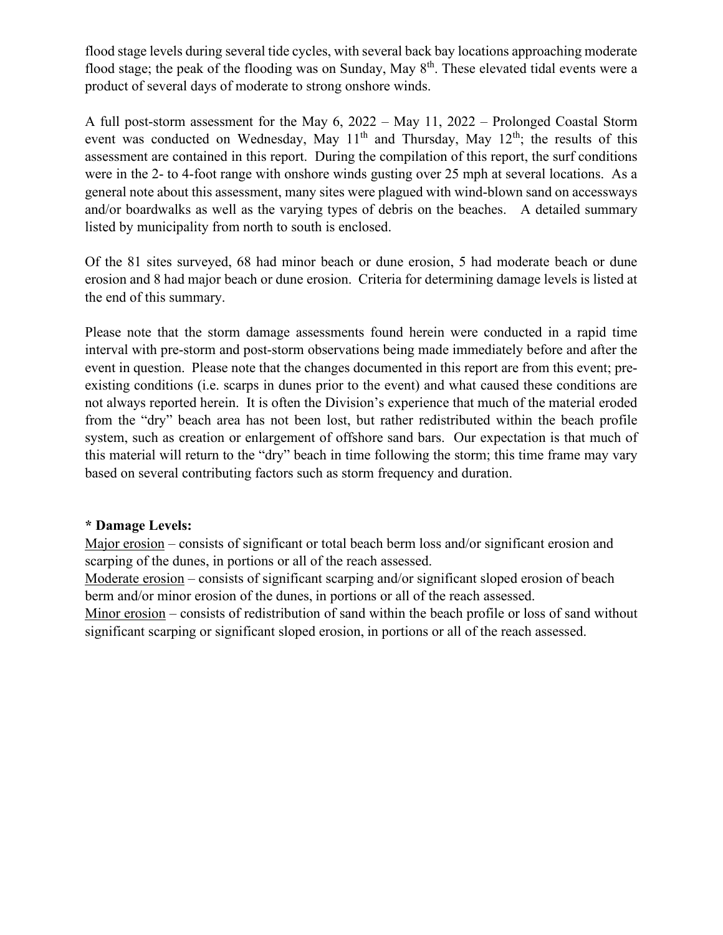flood stage levels during several tide cycles, with several back bay locations approaching moderate flood stage; the peak of the flooding was on Sunday, May  $8<sup>th</sup>$ . These elevated tidal events were a product of several days of moderate to strong onshore winds.

A full post-storm assessment for the May 6, 2022 – May 11, 2022 – Prolonged Coastal Storm event was conducted on Wednesday, May  $11<sup>th</sup>$  and Thursday, May  $12<sup>th</sup>$ ; the results of this assessment are contained in this report. During the compilation of this report, the surf conditions were in the 2- to 4-foot range with onshore winds gusting over 25 mph at several locations. As a general note about this assessment, many sites were plagued with wind-blown sand on accessways and/or boardwalks as well as the varying types of debris on the beaches. A detailed summary listed by municipality from north to south is enclosed.

Of the 81 sites surveyed, 68 had minor beach or dune erosion, 5 had moderate beach or dune erosion and 8 had major beach or dune erosion. Criteria for determining damage levels is listed at the end of this summary.

Please note that the storm damage assessments found herein were conducted in a rapid time interval with pre-storm and post-storm observations being made immediately before and after the event in question. Please note that the changes documented in this report are from this event; preexisting conditions (i.e. scarps in dunes prior to the event) and what caused these conditions are not always reported herein. It is often the Division's experience that much of the material eroded from the "dry" beach area has not been lost, but rather redistributed within the beach profile system, such as creation or enlargement of offshore sand bars. Our expectation is that much of this material will return to the "dry" beach in time following the storm; this time frame may vary based on several contributing factors such as storm frequency and duration.

## **\* Damage Levels:**

Major erosion – consists of significant or total beach berm loss and/or significant erosion and scarping of the dunes, in portions or all of the reach assessed.

Moderate erosion – consists of significant scarping and/or significant sloped erosion of beach berm and/or minor erosion of the dunes, in portions or all of the reach assessed.

Minor erosion – consists of redistribution of sand within the beach profile or loss of sand without significant scarping or significant sloped erosion, in portions or all of the reach assessed.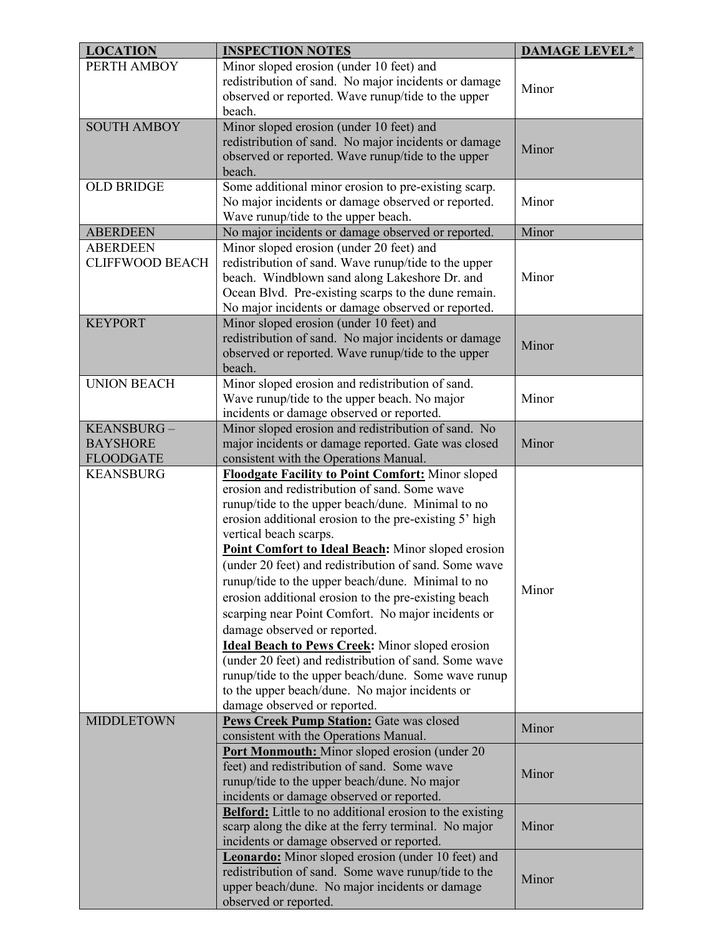| <b>LOCATION</b>        | <b>INSPECTION NOTES</b>                                                                                         | <b>DAMAGE LEVEL*</b> |
|------------------------|-----------------------------------------------------------------------------------------------------------------|----------------------|
| PERTH AMBOY            | Minor sloped erosion (under 10 feet) and                                                                        |                      |
|                        | redistribution of sand. No major incidents or damage                                                            | Minor                |
|                        | observed or reported. Wave runup/tide to the upper                                                              |                      |
|                        | beach.                                                                                                          |                      |
| <b>SOUTH AMBOY</b>     | Minor sloped erosion (under 10 feet) and                                                                        |                      |
|                        | redistribution of sand. No major incidents or damage                                                            | Minor                |
|                        | observed or reported. Wave runup/tide to the upper                                                              |                      |
|                        | beach.                                                                                                          |                      |
| <b>OLD BRIDGE</b>      | Some additional minor erosion to pre-existing scarp.                                                            |                      |
|                        | No major incidents or damage observed or reported.                                                              | Minor                |
|                        | Wave runup/tide to the upper beach.                                                                             |                      |
| <b>ABERDEEN</b>        | No major incidents or damage observed or reported.                                                              | Minor                |
| <b>ABERDEEN</b>        | Minor sloped erosion (under 20 feet) and                                                                        |                      |
| <b>CLIFFWOOD BEACH</b> | redistribution of sand. Wave runup/tide to the upper                                                            |                      |
|                        | beach. Windblown sand along Lakeshore Dr. and                                                                   | Minor                |
|                        | Ocean Blvd. Pre-existing scarps to the dune remain.                                                             |                      |
|                        | No major incidents or damage observed or reported.                                                              |                      |
| <b>KEYPORT</b>         | Minor sloped erosion (under 10 feet) and                                                                        |                      |
|                        | redistribution of sand. No major incidents or damage                                                            | Minor                |
|                        | observed or reported. Wave runup/tide to the upper                                                              |                      |
|                        | beach.                                                                                                          |                      |
| <b>UNION BEACH</b>     | Minor sloped erosion and redistribution of sand.                                                                |                      |
|                        | Wave runup/tide to the upper beach. No major                                                                    | Minor                |
|                        | incidents or damage observed or reported.                                                                       |                      |
| KEANSBURG-             | Minor sloped erosion and redistribution of sand. No                                                             |                      |
| <b>BAYSHORE</b>        | major incidents or damage reported. Gate was closed                                                             | Minor                |
| <b>FLOODGATE</b>       | consistent with the Operations Manual.                                                                          |                      |
| <b>KEANSBURG</b>       | <b>Floodgate Facility to Point Comfort:</b> Minor sloped                                                        |                      |
|                        | erosion and redistribution of sand. Some wave                                                                   |                      |
|                        | runup/tide to the upper beach/dune. Minimal to no                                                               |                      |
|                        | erosion additional erosion to the pre-existing 5' high                                                          |                      |
|                        | vertical beach scarps.                                                                                          |                      |
|                        | Point Comfort to Ideal Beach: Minor sloped erosion                                                              |                      |
|                        | (under 20 feet) and redistribution of sand. Some wave                                                           |                      |
|                        | runup/tide to the upper beach/dune. Minimal to no                                                               |                      |
|                        | erosion additional erosion to the pre-existing beach                                                            | Minor                |
|                        | scarping near Point Comfort. No major incidents or                                                              |                      |
|                        | damage observed or reported.                                                                                    |                      |
|                        |                                                                                                                 |                      |
|                        | <b>Ideal Beach to Pews Creek:</b> Minor sloped erosion<br>(under 20 feet) and redistribution of sand. Some wave |                      |
|                        | runup/tide to the upper beach/dune. Some wave runup                                                             |                      |
|                        | to the upper beach/dune. No major incidents or                                                                  |                      |
|                        | damage observed or reported.                                                                                    |                      |
| <b>MIDDLETOWN</b>      | Pews Creek Pump Station: Gate was closed                                                                        |                      |
|                        | consistent with the Operations Manual.                                                                          | Minor                |
|                        | <b>Port Monmouth:</b> Minor sloped erosion (under 20)                                                           |                      |
|                        | feet) and redistribution of sand. Some wave                                                                     |                      |
|                        | runup/tide to the upper beach/dune. No major                                                                    | Minor                |
|                        | incidents or damage observed or reported.                                                                       |                      |
|                        | <b>Belford:</b> Little to no additional erosion to the existing                                                 |                      |
|                        | scarp along the dike at the ferry terminal. No major                                                            | Minor                |
|                        | incidents or damage observed or reported.                                                                       |                      |
|                        | Leonardo: Minor sloped erosion (under 10 feet) and                                                              |                      |
|                        | redistribution of sand. Some wave runup/tide to the                                                             | Minor                |
|                        | upper beach/dune. No major incidents or damage                                                                  |                      |
|                        | observed or reported.                                                                                           |                      |
|                        |                                                                                                                 |                      |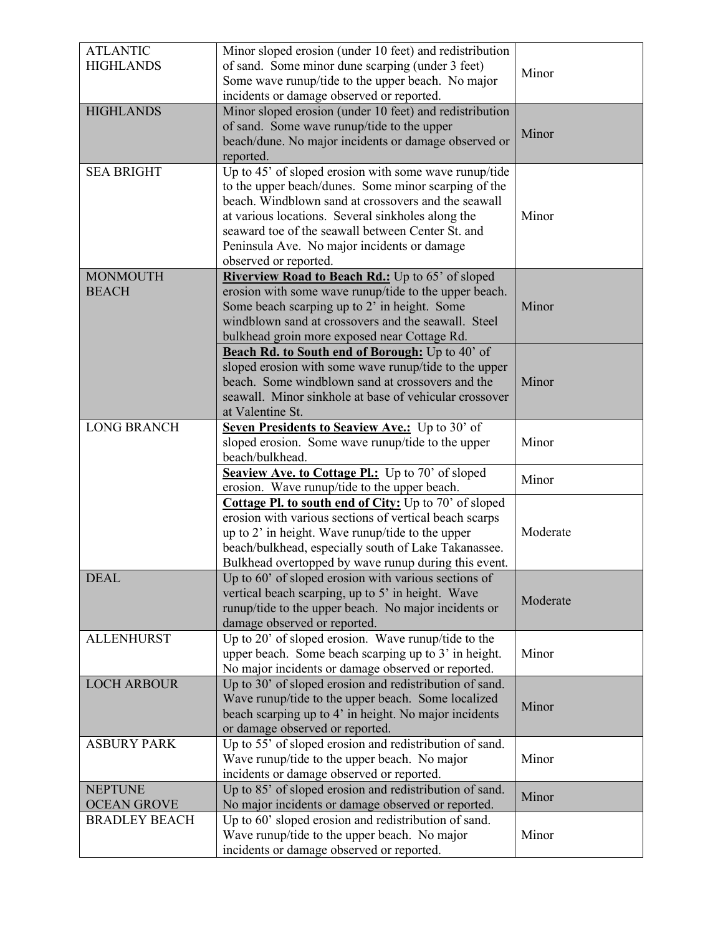| <b>ATLANTIC</b><br><b>HIGHLANDS</b>  | Minor sloped erosion (under 10 feet) and redistribution<br>of sand. Some minor dune scarping (under 3 feet)<br>Some wave runup/tide to the upper beach. No major<br>incidents or damage observed or reported.                                                                                                                                          | Minor    |
|--------------------------------------|--------------------------------------------------------------------------------------------------------------------------------------------------------------------------------------------------------------------------------------------------------------------------------------------------------------------------------------------------------|----------|
| <b>HIGHLANDS</b>                     | Minor sloped erosion (under 10 feet) and redistribution<br>of sand. Some wave runup/tide to the upper<br>beach/dune. No major incidents or damage observed or<br>reported.                                                                                                                                                                             | Minor    |
| <b>SEA BRIGHT</b>                    | Up to 45' of sloped erosion with some wave runup/tide<br>to the upper beach/dunes. Some minor scarping of the<br>beach. Windblown sand at crossovers and the seawall<br>at various locations. Several sinkholes along the<br>seaward toe of the seawall between Center St. and<br>Peninsula Ave. No major incidents or damage<br>observed or reported. | Minor    |
| <b>MONMOUTH</b><br><b>BEACH</b>      | Riverview Road to Beach Rd.: Up to 65' of sloped<br>erosion with some wave runup/tide to the upper beach.<br>Some beach scarping up to 2' in height. Some<br>windblown sand at crossovers and the seawall. Steel<br>bulkhead groin more exposed near Cottage Rd.                                                                                       | Minor    |
|                                      | Beach Rd. to South end of Borough: Up to 40' of<br>sloped erosion with some wave runup/tide to the upper<br>beach. Some windblown sand at crossovers and the<br>seawall. Minor sinkhole at base of vehicular crossover<br>at Valentine St.                                                                                                             | Minor    |
| <b>LONG BRANCH</b>                   | Seven Presidents to Seaview Ave.: Up to 30' of<br>sloped erosion. Some wave runup/tide to the upper<br>beach/bulkhead.                                                                                                                                                                                                                                 | Minor    |
|                                      | Seaview Ave. to Cottage Pl.: Up to 70' of sloped<br>erosion. Wave runup/tide to the upper beach.                                                                                                                                                                                                                                                       | Minor    |
|                                      | <b>Cottage Pl. to south end of City:</b> Up to 70' of sloped<br>erosion with various sections of vertical beach scarps<br>up to 2' in height. Wave runup/tide to the upper<br>beach/bulkhead, especially south of Lake Takanassee.<br>Bulkhead overtopped by wave runup during this event.                                                             | Moderate |
| <b>DEAL</b>                          | Up to 60' of sloped erosion with various sections of<br>vertical beach scarping, up to 5' in height. Wave<br>runup/tide to the upper beach. No major incidents or<br>damage observed or reported.                                                                                                                                                      | Moderate |
| <b>ALLENHURST</b>                    | Up to 20' of sloped erosion. Wave runup/tide to the<br>upper beach. Some beach scarping up to 3' in height.<br>No major incidents or damage observed or reported.                                                                                                                                                                                      | Minor    |
| <b>LOCH ARBOUR</b>                   | Up to 30' of sloped erosion and redistribution of sand.<br>Wave runup/tide to the upper beach. Some localized<br>beach scarping up to 4' in height. No major incidents<br>or damage observed or reported.                                                                                                                                              | Minor    |
| <b>ASBURY PARK</b>                   | Up to 55' of sloped erosion and redistribution of sand.<br>Wave runup/tide to the upper beach. No major<br>incidents or damage observed or reported.                                                                                                                                                                                                   | Minor    |
| <b>NEPTUNE</b><br><b>OCEAN GROVE</b> | Up to 85' of sloped erosion and redistribution of sand.<br>No major incidents or damage observed or reported.                                                                                                                                                                                                                                          | Minor    |
| <b>BRADLEY BEACH</b>                 | Up to 60' sloped erosion and redistribution of sand.<br>Wave runup/tide to the upper beach. No major<br>incidents or damage observed or reported.                                                                                                                                                                                                      | Minor    |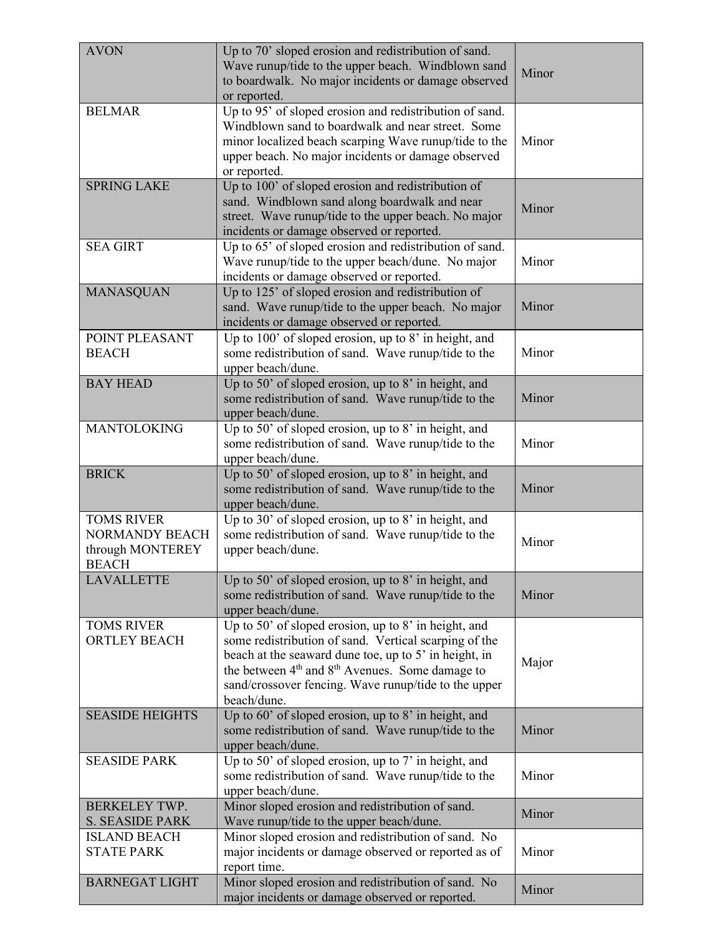| <b>AVON</b>                                                             | Up to 70' sloped erosion and redistribution of sand.<br>Wave runup/tide to the upper beach. Windblown sand<br>to boardwalk. No major incidents or damage observed<br>or reported.                                                                                                                    | Minor |
|-------------------------------------------------------------------------|------------------------------------------------------------------------------------------------------------------------------------------------------------------------------------------------------------------------------------------------------------------------------------------------------|-------|
| <b>BELMAR</b>                                                           | Up to 95' of sloped erosion and redistribution of sand.<br>Windblown sand to boardwalk and near street. Some<br>minor localized beach scarping Wave runup/tide to the<br>upper beach. No major incidents or damage observed<br>or reported.                                                          | Minor |
| <b>SPRING LAKE</b>                                                      | Up to 100' of sloped erosion and redistribution of<br>sand. Windblown sand along boardwalk and near<br>street. Wave runup/tide to the upper beach. No major<br>incidents or damage observed or reported.                                                                                             | Minor |
| <b>SEA GIRT</b>                                                         | Up to 65' of sloped erosion and redistribution of sand.<br>Wave runup/tide to the upper beach/dune. No major<br>incidents or damage observed or reported.                                                                                                                                            | Minor |
| <b>MANASQUAN</b>                                                        | Up to 125' of sloped erosion and redistribution of<br>sand. Wave runup/tide to the upper beach. No major<br>incidents or damage observed or reported.                                                                                                                                                | Minor |
| POINT PLEASANT<br><b>BEACH</b>                                          | Up to 100' of sloped erosion, up to 8' in height, and<br>some redistribution of sand. Wave runup/tide to the<br>upper beach/dune.                                                                                                                                                                    | Minor |
| <b>BAY HEAD</b>                                                         | Up to 50' of sloped erosion, up to 8' in height, and<br>some redistribution of sand. Wave runup/tide to the<br>upper beach/dune.                                                                                                                                                                     | Minor |
| <b>MANTOLOKING</b>                                                      | Up to 50' of sloped erosion, up to 8' in height, and<br>some redistribution of sand. Wave runup/tide to the<br>upper beach/dune.                                                                                                                                                                     | Minor |
| <b>BRICK</b>                                                            | Up to 50' of sloped erosion, up to 8' in height, and<br>some redistribution of sand. Wave runup/tide to the<br>upper beach/dune.                                                                                                                                                                     | Minor |
| <b>TOMS RIVER</b><br>NORMANDY BEACH<br>through MONTEREY<br><b>REACH</b> | Up to 30' of sloped erosion, up to 8' in height, and<br>some redistribution of sand. Wave runup/tide to the<br>upper beach/dune.                                                                                                                                                                     | Minor |
| <b>LAVALLETTE</b>                                                       | Up to 50' of sloped erosion, up to 8' in height, and<br>some redistribution of sand. Wave runup/tide to the<br>upper beach/dune.                                                                                                                                                                     | Minor |
| <b>TOMS RIVER</b><br><b>ORTLEY BEACH</b>                                | Up to 50' of sloped erosion, up to 8' in height, and<br>some redistribution of sand. Vertical scarping of the<br>beach at the seaward dune toe, up to 5' in height, in<br>the between $4th$ and $8th$ Avenues. Some damage to<br>sand/crossover fencing. Wave runup/tide to the upper<br>beach/dune. | Major |
| <b>SEASIDE HEIGHTS</b>                                                  | Up to 60' of sloped erosion, up to 8' in height, and<br>some redistribution of sand. Wave runup/tide to the<br>upper beach/dune.                                                                                                                                                                     | Minor |
| <b>SEASIDE PARK</b>                                                     | Up to 50' of sloped erosion, up to 7' in height, and<br>some redistribution of sand. Wave runup/tide to the<br>upper beach/dune.                                                                                                                                                                     | Minor |
| <b>BERKELEY TWP.</b><br><b>S. SEASIDE PARK</b><br><b>ISLAND BEACH</b>   | Minor sloped erosion and redistribution of sand.<br>Wave runup/tide to the upper beach/dune.<br>Minor sloped erosion and redistribution of sand. No                                                                                                                                                  | Minor |
| <b>STATE PARK</b>                                                       | major incidents or damage observed or reported as of<br>report time.                                                                                                                                                                                                                                 | Minor |
| <b>BARNEGAT LIGHT</b>                                                   | Minor sloped erosion and redistribution of sand. No<br>major incidents or damage observed or reported.                                                                                                                                                                                               | Minor |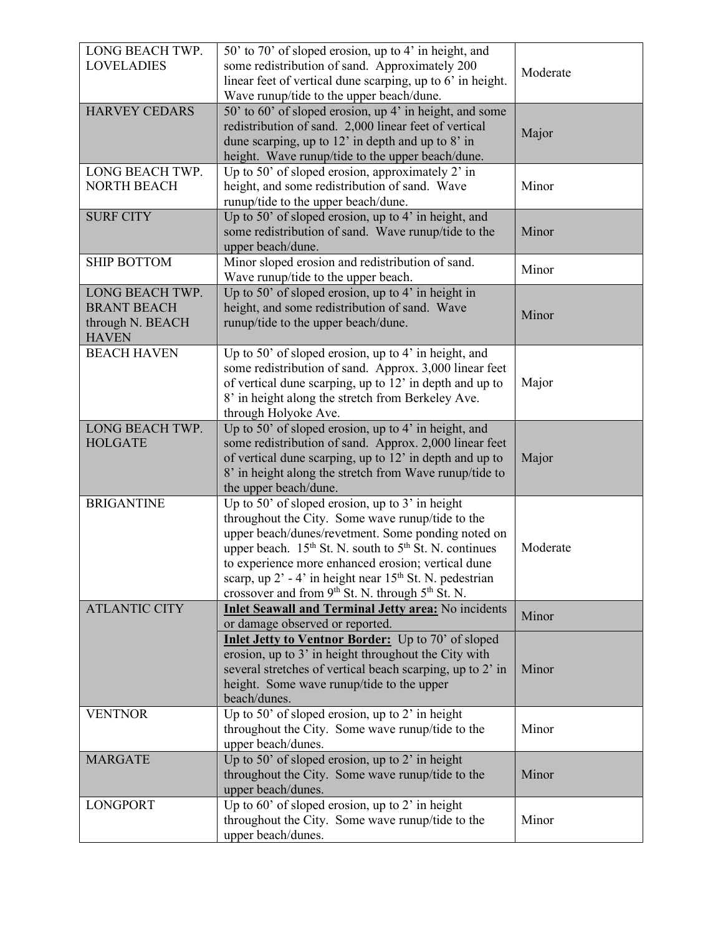| LONG BEACH TWP.      | 50' to 70' of sloped erosion, up to 4' in height, and                          |          |
|----------------------|--------------------------------------------------------------------------------|----------|
| <b>LOVELADIES</b>    | some redistribution of sand. Approximately 200                                 | Moderate |
|                      | linear feet of vertical dune scarping, up to 6' in height.                     |          |
|                      | Wave runup/tide to the upper beach/dune.                                       |          |
| <b>HARVEY CEDARS</b> | 50' to 60' of sloped erosion, up 4' in height, and some                        |          |
|                      | redistribution of sand. 2,000 linear feet of vertical                          | Major    |
|                      | dune scarping, up to $12'$ in depth and up to $8'$ in                          |          |
|                      | height. Wave runup/tide to the upper beach/dune.                               |          |
| LONG BEACH TWP.      | Up to 50' of sloped erosion, approximately 2' in                               |          |
| <b>NORTH BEACH</b>   | height, and some redistribution of sand. Wave                                  | Minor    |
|                      | runup/tide to the upper beach/dune.                                            |          |
| <b>SURF CITY</b>     | Up to 50' of sloped erosion, up to 4' in height, and                           |          |
|                      | some redistribution of sand. Wave runup/tide to the                            | Minor    |
|                      | upper beach/dune.                                                              |          |
| <b>SHIP BOTTOM</b>   | Minor sloped erosion and redistribution of sand.                               | Minor    |
|                      | Wave runup/tide to the upper beach.                                            |          |
| LONG BEACH TWP.      | Up to 50' of sloped erosion, up to 4' in height in                             |          |
| <b>BRANT BEACH</b>   | height, and some redistribution of sand. Wave                                  | Minor    |
| through N. BEACH     | runup/tide to the upper beach/dune.                                            |          |
| <b>HAVEN</b>         |                                                                                |          |
| <b>BEACH HAVEN</b>   | Up to 50' of sloped erosion, up to 4' in height, and                           |          |
|                      | some redistribution of sand. Approx. 3,000 linear feet                         |          |
|                      | of vertical dune scarping, up to 12' in depth and up to                        | Major    |
|                      | 8' in height along the stretch from Berkeley Ave.                              |          |
|                      | through Holyoke Ave.                                                           |          |
| LONG BEACH TWP.      | Up to 50' of sloped erosion, up to 4' in height, and                           |          |
| <b>HOLGATE</b>       | some redistribution of sand. Approx. 2,000 linear feet                         |          |
|                      | of vertical dune scarping, up to 12' in depth and up to                        | Major    |
|                      | 8' in height along the stretch from Wave runup/tide to                         |          |
|                      | the upper beach/dune.                                                          |          |
| <b>BRIGANTINE</b>    | Up to 50' of sloped erosion, up to 3' in height                                |          |
|                      | throughout the City. Some wave runup/tide to the                               |          |
|                      | upper beach/dunes/revetment. Some ponding noted on                             |          |
|                      | upper beach. 15 <sup>th</sup> St. N. south to 5 <sup>th</sup> St. N. continues | Moderate |
|                      | to experience more enhanced erosion; vertical dune                             |          |
|                      | scarp, up 2' - 4' in height near 15 <sup>th</sup> St. N. pedestrian            |          |
|                      | crossover and from 9 <sup>th</sup> St. N. through 5 <sup>th</sup> St. N.       |          |
| <b>ATLANTIC CITY</b> | <b>Inlet Seawall and Terminal Jetty area:</b> No incidents                     |          |
|                      | or damage observed or reported.                                                | Minor    |
|                      | Inlet Jetty to Ventnor Border: Up to 70' of sloped                             |          |
|                      | erosion, up to 3' in height throughout the City with                           |          |
|                      | several stretches of vertical beach scarping, up to 2' in                      | Minor    |
|                      | height. Some wave runup/tide to the upper                                      |          |
|                      | beach/dunes.                                                                   |          |
| <b>VENTNOR</b>       | Up to 50' of sloped erosion, up to 2' in height                                |          |
|                      | throughout the City. Some wave runup/tide to the                               | Minor    |
|                      | upper beach/dunes.                                                             |          |
| <b>MARGATE</b>       | Up to 50' of sloped erosion, up to 2' in height                                |          |
|                      | throughout the City. Some wave runup/tide to the                               | Minor    |
|                      | upper beach/dunes.                                                             |          |
| <b>LONGPORT</b>      | Up to $60'$ of sloped erosion, up to 2' in height                              |          |
|                      | throughout the City. Some wave runup/tide to the                               | Minor    |
|                      | upper beach/dunes.                                                             |          |
|                      |                                                                                |          |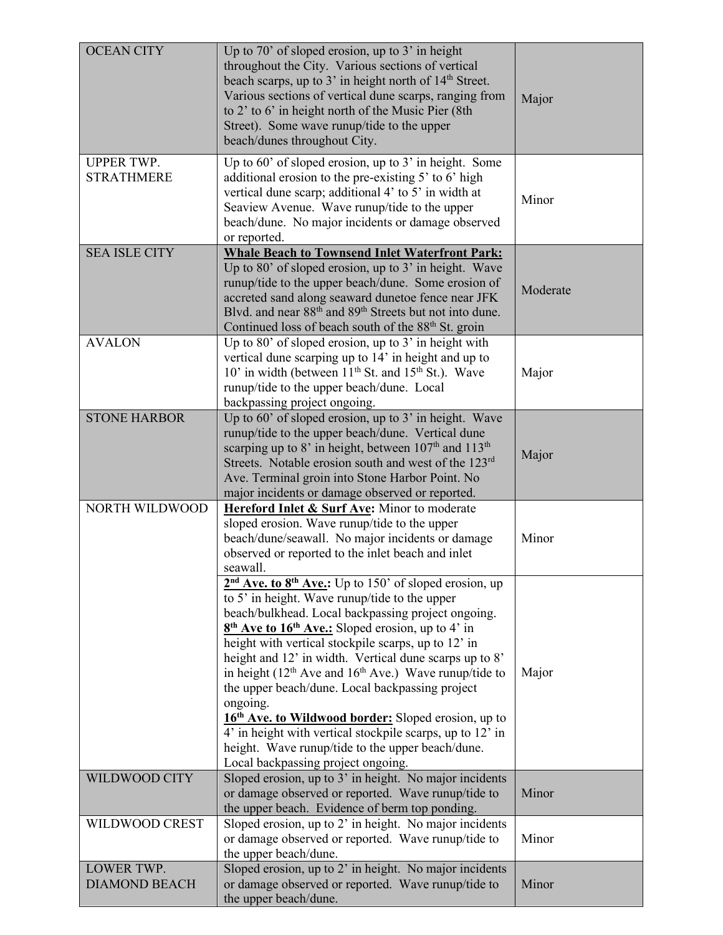| <b>OCEAN CITY</b>                      | Up to 70' of sloped erosion, up to $3'$ in height<br>throughout the City. Various sections of vertical<br>beach scarps, up to 3' in height north of 14 <sup>th</sup> Street.<br>Various sections of vertical dune scarps, ranging from<br>to 2' to 6' in height north of the Music Pier (8th<br>Street). Some wave runup/tide to the upper<br>beach/dunes throughout City.                                                                                                                                                                                                                                                                                                                                  | Major    |
|----------------------------------------|-------------------------------------------------------------------------------------------------------------------------------------------------------------------------------------------------------------------------------------------------------------------------------------------------------------------------------------------------------------------------------------------------------------------------------------------------------------------------------------------------------------------------------------------------------------------------------------------------------------------------------------------------------------------------------------------------------------|----------|
| <b>UPPER TWP.</b><br><b>STRATHMERE</b> | Up to 60' of sloped erosion, up to 3' in height. Some<br>additional erosion to the pre-existing 5' to 6' high<br>vertical dune scarp; additional 4' to 5' in width at<br>Seaview Avenue. Wave runup/tide to the upper<br>beach/dune. No major incidents or damage observed<br>or reported.                                                                                                                                                                                                                                                                                                                                                                                                                  | Minor    |
| <b>SEA ISLE CITY</b>                   | <b>Whale Beach to Townsend Inlet Waterfront Park:</b><br>Up to 80' of sloped erosion, up to 3' in height. Wave<br>runup/tide to the upper beach/dune. Some erosion of<br>accreted sand along seaward dunetoe fence near JFK<br>Blvd. and near 88 <sup>th</sup> and 89 <sup>th</sup> Streets but not into dune.<br>Continued loss of beach south of the 88 <sup>th</sup> St. groin                                                                                                                                                                                                                                                                                                                           | Moderate |
| <b>AVALON</b>                          | Up to 80' of sloped erosion, up to $3'$ in height with<br>vertical dune scarping up to 14' in height and up to<br>10' in width (between 11 <sup>th</sup> St. and 15 <sup>th</sup> St.). Wave<br>runup/tide to the upper beach/dune. Local<br>backpassing project ongoing.                                                                                                                                                                                                                                                                                                                                                                                                                                   | Major    |
| <b>STONE HARBOR</b>                    | Up to 60' of sloped erosion, up to 3' in height. Wave<br>runup/tide to the upper beach/dune. Vertical dune<br>scarping up to 8' in height, between 107 <sup>th</sup> and 113 <sup>th</sup><br>Streets. Notable erosion south and west of the 123rd<br>Ave. Terminal groin into Stone Harbor Point. No<br>major incidents or damage observed or reported.                                                                                                                                                                                                                                                                                                                                                    | Major    |
| <b>NORTH WILDWOOD</b>                  | Hereford Inlet & Surf Ave: Minor to moderate<br>sloped erosion. Wave runup/tide to the upper<br>beach/dune/seawall. No major incidents or damage<br>observed or reported to the inlet beach and inlet<br>seawall.                                                                                                                                                                                                                                                                                                                                                                                                                                                                                           | Minor    |
|                                        | $2nd$ Ave. to $8th$ Ave.: Up to 150' of sloped erosion, up<br>to 5' in height. Wave runup/tide to the upper<br>beach/bulkhead. Local backpassing project ongoing.<br>$8th$ Ave to 16 <sup>th</sup> Ave.: Sloped erosion, up to 4' in<br>height with vertical stockpile scarps, up to 12' in<br>height and 12' in width. Vertical dune scarps up to 8'<br>in height $(12th$ Ave and $16th$ Ave.) Wave runup/tide to<br>the upper beach/dune. Local backpassing project<br>ongoing.<br>16 <sup>th</sup> Ave. to Wildwood border: Sloped erosion, up to<br>4' in height with vertical stockpile scarps, up to 12' in<br>height. Wave runup/tide to the upper beach/dune.<br>Local backpassing project ongoing. | Major    |
| WILDWOOD CITY                          | Sloped erosion, up to 3' in height. No major incidents<br>or damage observed or reported. Wave runup/tide to<br>the upper beach. Evidence of berm top ponding.                                                                                                                                                                                                                                                                                                                                                                                                                                                                                                                                              | Minor    |
| WILDWOOD CREST                         | Sloped erosion, up to 2' in height. No major incidents<br>or damage observed or reported. Wave runup/tide to<br>the upper beach/dune.                                                                                                                                                                                                                                                                                                                                                                                                                                                                                                                                                                       | Minor    |
| LOWER TWP.<br><b>DIAMOND BEACH</b>     | Sloped erosion, up to 2' in height. No major incidents<br>or damage observed or reported. Wave runup/tide to<br>the upper beach/dune.                                                                                                                                                                                                                                                                                                                                                                                                                                                                                                                                                                       | Minor    |